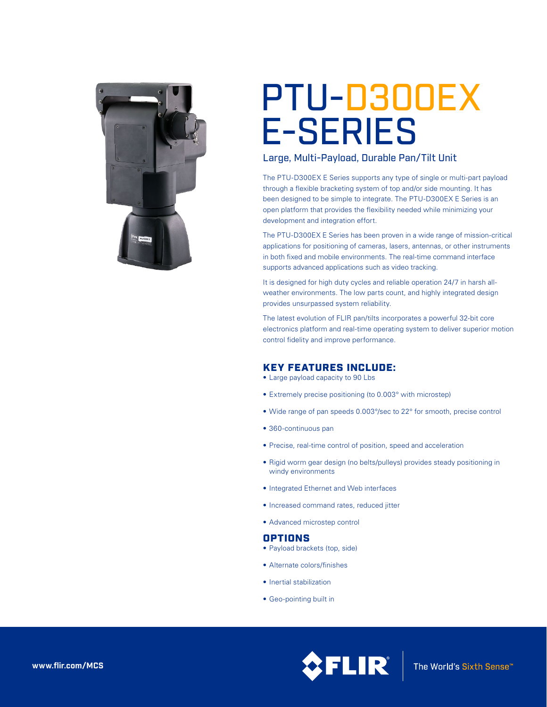

# PTU-D300EX E-SERIES

# Large, Multi-Payload, Durable Pan/Tilt Unit

The PTU-D300EX E Series supports any type of single or multi-part payload through a flexible bracketing system of top and/or side mounting. It has been designed to be simple to integrate. The PTU-D300EX E Series is an open platform that provides the flexibility needed while minimizing your development and integration effort.

The PTU-D300EX E Series has been proven in a wide range of mission-critical applications for positioning of cameras, lasers, antennas, or other instruments in both fixed and mobile environments. The real-time command interface supports advanced applications such as video tracking.

It is designed for high duty cycles and reliable operation 24/7 in harsh allweather environments. The low parts count, and highly integrated design provides unsurpassed system reliability.

The latest evolution of FLIR pan/tilts incorporates a powerful 32-bit core electronics platform and real-time operating system to deliver superior motion control fidelity and improve performance.

## KEY FEATURES INCLUDE:

- Large payload capacity to 90 Lbs
- Extremely precise positioning (to 0.003° with microstep)
- Wide range of pan speeds 0.003°/sec to 22° for smooth, precise control
- 360-continuous pan
- Precise, real-time control of position, speed and acceleration
- Rigid worm gear design (no belts/pulleys) provides steady positioning in windy environments
- • Integrated Ethernet and Web interfaces
- • Increased command rates, reduced jitter
- • Advanced microstep control

## OPTIONS

- Payload brackets (top, side)
- • Alternate colors/finishes
- Inertial stabilization
- • Geo-pointing built in